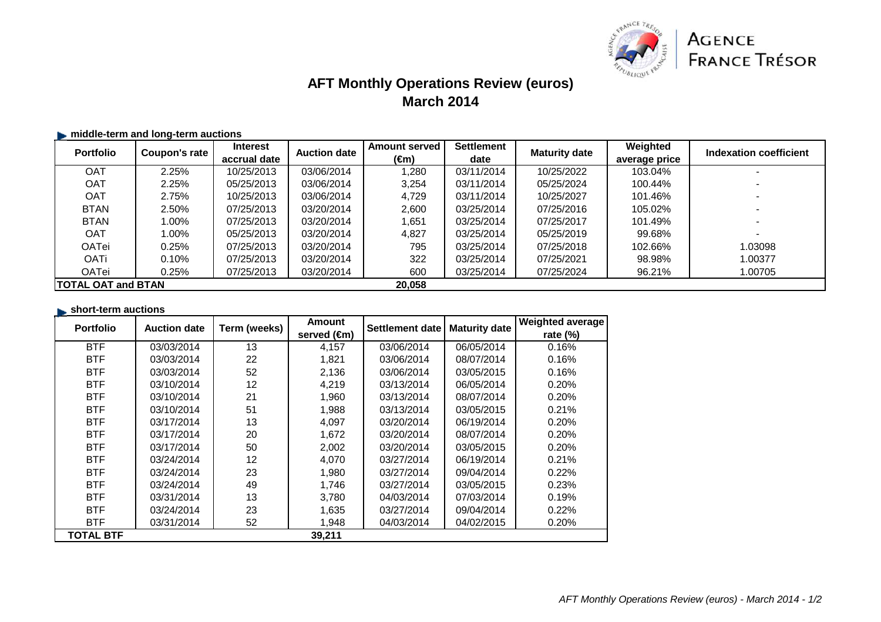

# **AFT Monthly Operations Review (euros)March 2014**

### **middle-term and long-term auctions**

| <b>Portfolio</b>           | Coupon's rate | <b>Interest</b> | <b>Auction date</b> | <b>Amount served</b> | <b>Settlement</b> | <b>Maturity date</b> | Weighted      | Indexation coefficient |
|----------------------------|---------------|-----------------|---------------------|----------------------|-------------------|----------------------|---------------|------------------------|
|                            |               | accrual date    |                     | (€m)                 | date              |                      | average price |                        |
| <b>OAT</b>                 | 2.25%         | 10/25/2013      | 03/06/2014          | 1.280                | 03/11/2014        | 10/25/2022           | 103.04%       |                        |
| <b>OAT</b>                 | 2.25%         | 05/25/2013      | 03/06/2014          | 3.254                | 03/11/2014        | 05/25/2024           | 100.44%       |                        |
| <b>OAT</b>                 | 2.75%         | 10/25/2013      | 03/06/2014          | 4,729                | 03/11/2014        | 10/25/2027           | 101.46%       |                        |
| <b>BTAN</b>                | 2.50%         | 07/25/2013      | 03/20/2014          | 2,600                | 03/25/2014        | 07/25/2016           | 105.02%       |                        |
| <b>BTAN</b>                | 1.00%         | 07/25/2013      | 03/20/2014          | 1,651                | 03/25/2014        | 07/25/2017           | 101.49%       |                        |
| <b>OAT</b>                 | 1.00%         | 05/25/2013      | 03/20/2014          | 4.827                | 03/25/2014        | 05/25/2019           | 99.68%        |                        |
| OATei                      | 0.25%         | 07/25/2013      | 03/20/2014          | 795                  | 03/25/2014        | 07/25/2018           | 102.66%       | 1.03098                |
| <b>OATi</b>                | 0.10%         | 07/25/2013      | 03/20/2014          | 322                  | 03/25/2014        | 07/25/2021           | 98.98%        | 1.00377                |
| OATei                      | 0.25%         | 07/25/2013      | 03/20/2014          | 600                  | 03/25/2014        | 07/25/2024           | 96.21%        | 1.00705                |
| <b>ITOTAL OAT and BTAN</b> |               |                 | 20,058              |                      |                   |                      |               |                        |

#### **short-term auctions**

| <b>Portfolio</b> | <b>Auction date</b> | Term (weeks) | <b>Amount</b> | Settlement date | <b>Maturity date</b> | <b>Weighted average</b> |
|------------------|---------------------|--------------|---------------|-----------------|----------------------|-------------------------|
|                  |                     |              | served (€m)   |                 |                      | rate $(\%)$             |
| <b>BTF</b>       | 03/03/2014          | 13           | 4,157         | 03/06/2014      | 06/05/2014           | 0.16%                   |
| <b>BTF</b>       | 03/03/2014          | 22           | 1,821         | 03/06/2014      | 08/07/2014           | 0.16%                   |
| <b>BTF</b>       | 03/03/2014          | 52           | 2,136         | 03/06/2014      | 03/05/2015           | 0.16%                   |
| <b>BTF</b>       | 03/10/2014          | 12           | 4,219         | 03/13/2014      | 06/05/2014           | 0.20%                   |
| <b>BTF</b>       | 03/10/2014          | 21           | 1,960         | 03/13/2014      | 08/07/2014           | 0.20%                   |
| <b>BTF</b>       | 03/10/2014          | 51           | 1,988         | 03/13/2014      | 03/05/2015           | 0.21%                   |
| <b>BTF</b>       | 03/17/2014          | 13           | 4,097         | 03/20/2014      | 06/19/2014           | 0.20%                   |
| <b>BTF</b>       | 03/17/2014          | 20           | 1,672         | 03/20/2014      | 08/07/2014           | 0.20%                   |
| <b>BTF</b>       | 03/17/2014          | 50           | 2,002         | 03/20/2014      | 03/05/2015           | 0.20%                   |
| <b>BTF</b>       | 03/24/2014          | 12           | 4,070         | 03/27/2014      | 06/19/2014           | 0.21%                   |
| <b>BTF</b>       | 03/24/2014          | 23           | 1,980         | 03/27/2014      | 09/04/2014           | 0.22%                   |
| <b>BTF</b>       | 03/24/2014          | 49           | 1,746         | 03/27/2014      | 03/05/2015           | 0.23%                   |
| <b>BTF</b>       | 03/31/2014          | 13           | 3,780         | 04/03/2014      | 07/03/2014           | 0.19%                   |
| <b>BTF</b>       | 03/24/2014          | 23           | 1,635         | 03/27/2014      | 09/04/2014           | 0.22%                   |
| <b>BTF</b>       | 03/31/2014          | 52           | 1,948         | 04/03/2014      | 04/02/2015           | 0.20%                   |
| <b>TOTAL BTF</b> |                     |              | 39,211        |                 |                      |                         |